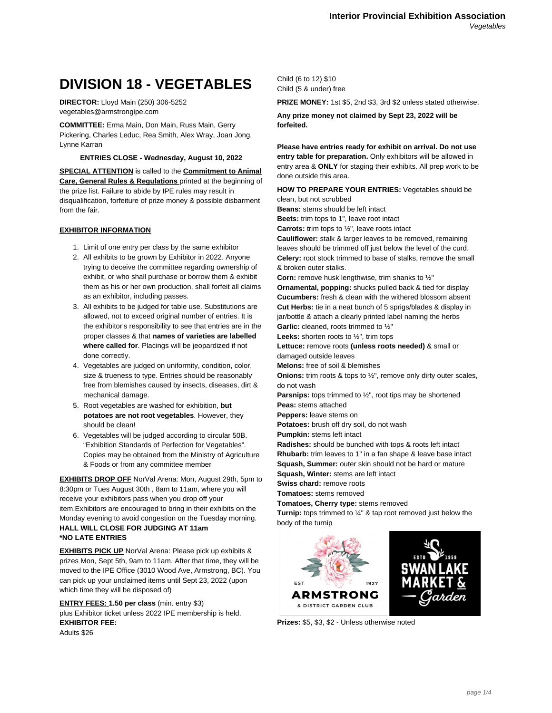# **DIVISION 18 - VEGETABLES**

**DIRECTOR:** Lloyd Main (250) 306-5252 vegetables@armstrongipe.com

**COMMITTEE:** Erma Main, Don Main, Russ Main, Gerry Pickering, Charles Leduc, Rea Smith, Alex Wray, Joan Jong, Lynne Karran

# **ENTRIES CLOSE - Wednesday, August 10, 2022**

**SPECIAL ATTENTION** is called to the **Commitment to Animal Care, General Rules & Regulations** printed at the beginning of the prize list. Failure to abide by IPE rules may result in disqualification, forfeiture of prize money & possible disbarment from the fair.

# **EXHIBITOR INFORMATION**

- 1. Limit of one entry per class by the same exhibitor
- 2. All exhibits to be grown by Exhibitor in 2022. Anyone trying to deceive the committee regarding ownership of exhibit, or who shall purchase or borrow them & exhibit them as his or her own production, shall forfeit all claims as an exhibitor, including passes.
- 3. All exhibits to be judged for table use. Substitutions are allowed, not to exceed original number of entries. It is the exhibitor's responsibility to see that entries are in the proper classes & that **names of varieties are labelled where called for**. Placings will be jeopardized if not done correctly.
- 4. Vegetables are judged on uniformity, condition, color, size & trueness to type. Entries should be reasonably free from blemishes caused by insects, diseases, dirt & mechanical damage.
- 5. Root vegetables are washed for exhibition, **but potatoes are not root vegetables**. However, they should be clean!
- 6. Vegetables will be judged according to circular 50B. "Exhibition Standards of Perfection for Vegetables". Copies may be obtained from the Ministry of Agriculture & Foods or from any committee member

**EXHIBITS DROP OFF** NorVal Arena: Mon, August 29th, 5pm to 8:30pm or Tues August 30th , 8am to 11am, where you will receive your exhibitors pass when you drop off your item.Exhibitors are encouraged to bring in their exhibits on the Monday evening to avoid congestion on the Tuesday morning. **HALL WILL CLOSE FOR JUDGING AT 11am \*NO LATE ENTRIES**

**EXHIBITS PICK UP** NorVal Arena: Please pick up exhibits & prizes Mon, Sept 5th, 9am to 11am. After that time, they will be moved to the IPE Office (3010 Wood Ave, Armstrong, BC). You can pick up your unclaimed items until Sept 23, 2022 (upon which time they will be disposed of)

**ENTRY FEES: 1.50 per class** (min. entry \$3) plus Exhibitor ticket unless 2022 IPE membership is held. **EXHIBITOR FEE:** Adults \$26

Child (6 to 12) \$10 Child (5 & under) free

**PRIZE MONEY:** 1st \$5, 2nd \$3, 3rd \$2 unless stated otherwise.

**Any prize money not claimed by Sept 23, 2022 will be forfeited.**

**Please have entries ready for exhibit on arrival. Do not use entry table for preparation.** Only exhibitors will be allowed in entry area & **ONLY** for staging their exhibits. All prep work to be done outside this area.

**HOW TO PREPARE YOUR ENTRIES:** Vegetables should be clean, but not scrubbed

**Beans:** stems should be left intact

**Beets:** trim tops to 1", leave root intact

**Carrots:** trim tops to ½", leave roots intact

**Cauliflower:** stalk & larger leaves to be removed, remaining leaves should be trimmed off just below the level of the curd. **Celery:** root stock trimmed to base of stalks, remove the small & broken outer stalks.

**Corn:** remove husk lengthwise, trim shanks to ½"

**Ornamental, popping:** shucks pulled back & tied for display **Cucumbers:** fresh & clean with the withered blossom absent **Cut Herbs:** tie in a neat bunch of 5 sprigs/blades & display in jar/bottle & attach a clearly printed label naming the herbs Garlic: cleaned, roots trimmed to 1/2"

**Leeks:** shorten roots to ½", trim tops

**Lettuce:** remove roots **(unless roots needed)** & small or damaged outside leaves

**Melons:** free of soil & blemishes

**Onions:** trim roots & tops to <sup>1/2</sup>, remove only dirty outer scales, do not wash

**Parsnips:** tops trimmed to ½", root tips may be shortened

**Peas:** stems attached

**Peppers:** leave stems on

**Potatoes:** brush off dry soil, do not wash

**Pumpkin:** stems left intact

**Radishes:** should be bunched with tops & roots left intact **Rhubarb:** trim leaves to 1" in a fan shape & leave base intact **Squash, Summer:** outer skin should not be hard or mature **Squash, Winter:** stems are left intact

**Swiss chard:** remove roots

**Tomatoes:** stems removed

**Tomatoes, Cherry type:** stems removed

**Turnip:** tops trimmed to ¼" & tap root removed just below the body of the turnip



**Prizes:** \$5, \$3, \$2 - Unless otherwise noted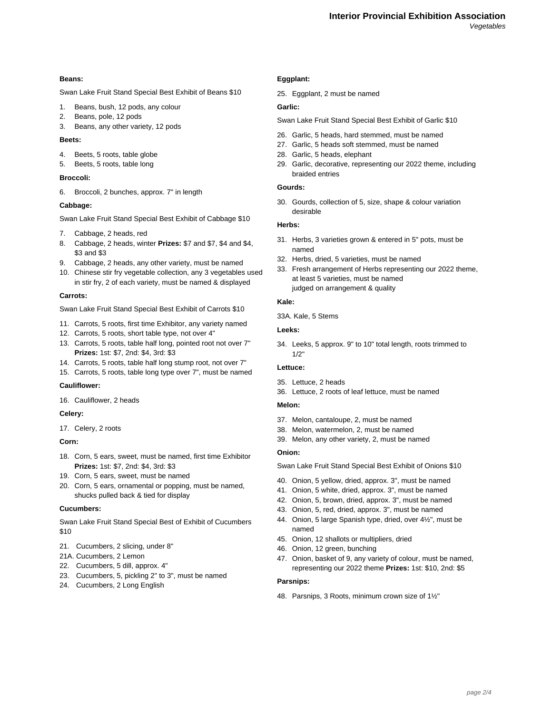## **Beans:**

Swan Lake Fruit Stand Special Best Exhibit of Beans \$10

- 1. Beans, bush, 12 pods, any colour
- 2. Beans, pole, 12 pods
- 3. Beans, any other variety, 12 pods

# **Beets:**

- 4. Beets, 5 roots, table globe
- 5. Beets, 5 roots, table long

## **Broccoli:**

6. Broccoli, 2 bunches, approx. 7" in length

## **Cabbage:**

Swan Lake Fruit Stand Special Best Exhibit of Cabbage \$10

- 7. Cabbage, 2 heads, red
- 8. Cabbage, 2 heads, winter **Prizes:** \$7 and \$7, \$4 and \$4, \$3 and \$3
- 9. Cabbage, 2 heads, any other variety, must be named
- 10. Chinese stir fry vegetable collection, any 3 vegetables used in stir fry, 2 of each variety, must be named & displayed

# **Carrots:**

Swan Lake Fruit Stand Special Best Exhibit of Carrots \$10

- 11. Carrots, 5 roots, first time Exhibitor, any variety named
- 12. Carrots, 5 roots, short table type, not over 4"
- 13. Carrots, 5 roots, table half long, pointed root not over 7" **Prizes:** 1st: \$7, 2nd: \$4, 3rd: \$3
- 14. Carrots, 5 roots, table half long stump root, not over 7"
- 15. Carrots, 5 roots, table long type over 7", must be named

# **Cauliflower:**

16. Cauliflower, 2 heads

## **Celery:**

17. Celery, 2 roots

# **Corn:**

- 18. Corn, 5 ears, sweet, must be named, first time Exhibitor **Prizes:** 1st: \$7, 2nd: \$4, 3rd: \$3
- 19. Corn, 5 ears, sweet, must be named
- 20. Corn, 5 ears, ornamental or popping, must be named, shucks pulled back & tied for display

#### **Cucumbers:**

Swan Lake Fruit Stand Special Best of Exhibit of Cucumbers \$10

- 21. Cucumbers, 2 slicing, under 8"
- 21A. Cucumbers, 2 Lemon
- 22. Cucumbers, 5 dill, approx. 4"
- 23. Cucumbers, 5, pickling 2" to 3", must be named
- 24. Cucumbers, 2 Long English

# **Eggplant:**

25. Eggplant, 2 must be named

# **Garlic:**

Swan Lake Fruit Stand Special Best Exhibit of Garlic \$10

- 26. Garlic, 5 heads, hard stemmed, must be named
- 27. Garlic, 5 heads soft stemmed, must be named
- 28. Garlic, 5 heads, elephant
- 29. Garlic, decorative, representing our 2022 theme, including braided entries

# **Gourds:**

30. Gourds, collection of 5, size, shape & colour variation desirable

#### **Herbs:**

- 31. Herbs, 3 varieties grown & entered in 5" pots, must be named
- 32. Herbs, dried, 5 varieties, must be named
- 33. Fresh arrangement of Herbs representing our 2022 theme, at least 5 varieties, must be named judged on arrangement & quality

## **Kale:**

33A. Kale, 5 Stems

#### **Leeks:**

34. Leeks, 5 approx. 9" to 10" total length, roots trimmed to 1/2"

# **Lettuce:**

- 35. Lettuce, 2 heads
- 36. Lettuce, 2 roots of leaf lettuce, must be named

# **Melon:**

- 37. Melon, cantaloupe, 2, must be named
- 38. Melon, watermelon, 2, must be named
- 39. Melon, any other variety, 2, must be named

#### **Onion:**

Swan Lake Fruit Stand Special Best Exhibit of Onions \$10

- 40. Onion, 5 yellow, dried, approx. 3", must be named
- 41. Onion, 5 white, dried, approx. 3", must be named
- 42. Onion, 5, brown, dried, approx. 3", must be named
- 43. Onion, 5, red, dried, approx. 3", must be named
- 44. Onion, 5 large Spanish type, dried, over 4½", must be named
- 45. Onion, 12 shallots or multipliers, dried
- 46. Onion, 12 green, bunching
- 47. Onion, basket of 9, any variety of colour, must be named, representing our 2022 theme **Prizes:** 1st: \$10, 2nd: \$5

#### **Parsnips:**

48. Parsnips, 3 Roots, minimum crown size of 1½"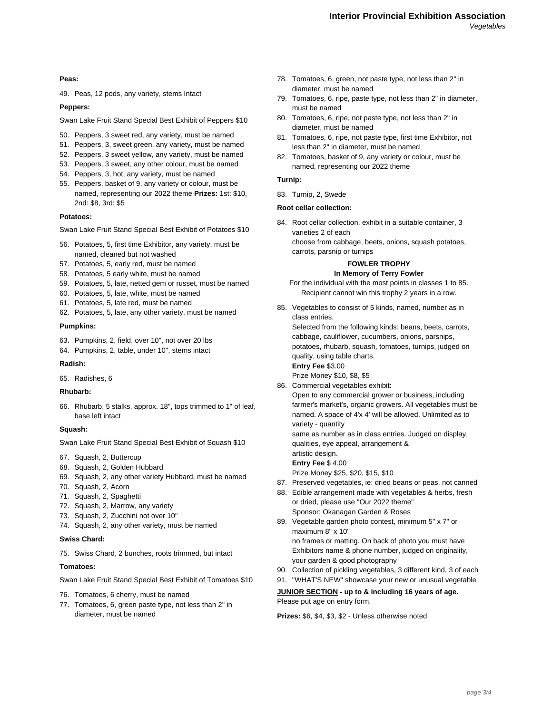**Peas:**

49. Peas, 12 pods, any variety, stems Intact

**Peppers:**

Swan Lake Fruit Stand Special Best Exhibit of Peppers \$10

- 50. Peppers, 3 sweet red, any variety, must be named
- 51. Peppers, 3, sweet green, any variety, must be named
- 52. Peppers, 3 sweet yellow, any variety, must be named
- 53. Peppers, 3 sweet, any other colour, must be named
- 54. Peppers, 3, hot, any variety, must be named
- 55. Peppers, basket of 9, any variety or colour, must be named, representing our 2022 theme **Prizes:** 1st: \$10, 2nd: \$8, 3rd: \$5

# **Potatoes:**

Swan Lake Fruit Stand Special Best Exhibit of Potatoes \$10

- 56. Potatoes, 5, first time Exhibitor, any variety, must be named, cleaned but not washed
- 57. Potatoes, 5, early red, must be named
- 58. Potatoes, 5 early white, must be named
- 59. Potatoes, 5, late, netted gem or russet, must be named
- 60. Potatoes, 5, late, white, must be named
- 61. Potatoes, 5, late red, must be named
- 62. Potatoes, 5, late, any other variety, must be named

#### **Pumpkins:**

- 63. Pumpkins, 2, field, over 10", not over 20 lbs
- 64. Pumpkins, 2, table, under 10", stems intact

#### **Radish:**

65. Radishes, 6

## **Rhubarb:**

66. Rhubarb, 5 stalks, approx. 18", tops trimmed to 1" of leaf, base left intact

# **Squash:**

Swan Lake Fruit Stand Special Best Exhibit of Squash \$10

- 67. Squash, 2, Buttercup
- 68. Squash, 2, Golden Hubbard
- 69. Squash, 2, any other variety Hubbard, must be named
- 70. Squash, 2, Acorn
- 71. Squash, 2, Spaghetti
- 72. Squash, 2, Marrow, any variety
- 73. Squash, 2, Zucchini not over 10"
- 74. Squash, 2, any other variety, must be named

#### **Swiss Chard:**

75. Swiss Chard, 2 bunches, roots trimmed, but intact

## **Tomatoes:**

Swan Lake Fruit Stand Special Best Exhibit of Tomatoes \$10

- 76. Tomatoes, 6 cherry, must be named
- 77. Tomatoes, 6, green paste type, not less than 2" in diameter, must be named
- 78. Tomatoes, 6, green, not paste type, not less than 2" in diameter, must be named
- 79. Tomatoes, 6, ripe, paste type, not less than 2" in diameter, must be named
- 80. Tomatoes, 6, ripe, not paste type, not less than 2" in diameter, must be named
- 81. Tomatoes, 6, ripe, not paste type, first time Exhibitor, not less than 2" in diameter, must be named
- 82. Tomatoes, basket of 9, any variety or colour, must be named, representing our 2022 theme

## **Turnip:**

83. Turnip, 2, Swede

## **Root cellar collection:**

84. Root cellar collection, exhibit in a suitable container, 3 varieties 2 of each

choose from cabbage, beets, onions, squash potatoes, carrots, parsnip or turnips

## **FOWLER TROPHY In Memory of Terry Fowler**

- For the individual with the most points in classes 1 to 85. Recipient cannot win this trophy 2 years in a row.
- 85. Vegetables to consist of 5 kinds, named, number as in class entries.

Selected from the following kinds: beans, beets, carrots, cabbage, cauliflower, cucumbers, onions, parsnips, potatoes, rhubarb, squash, tomatoes, turnips, judged on

quality, using table charts. **Entry Fee** \$3.00

Prize Money \$10, \$8, \$5

- 86. Commercial vegetables exhibit:
- Open to any commercial grower or business, including farmer's market's, organic growers. All vegetables must be named. A space of 4'x 4' will be allowed. Unlimited as to variety - quantity

same as number as in class entries. Judged on display, qualities, eye appeal, arrangement &

- artistic design.
- **Entry Fee** \$ 4.00

Prize Money \$25, \$20, \$15, \$10

- 87. Preserved vegetables, ie: dried beans or peas, not canned
- 88. Edible arrangement made with vegetables & herbs, fresh or dried, please use "Our 2022 theme" Sponsor: Okanagan Garden & Roses
- 89. Vegetable garden photo contest, minimum 5" x 7" or maximum 8" x 10" no frames or matting. On back of photo you must have Exhibitors name & phone number, judged on originality, your garden & good photography
- 90. Collection of pickling vegetables, 3 different kind, 3 of each
- 91. "WHAT'S NEW" showcase your new or unusual vegetable **JUNIOR SECTION - up to & including 16 years of age.**

Please put age on entry form.

**Prizes:** \$6, \$4, \$3, \$2 - Unless otherwise noted